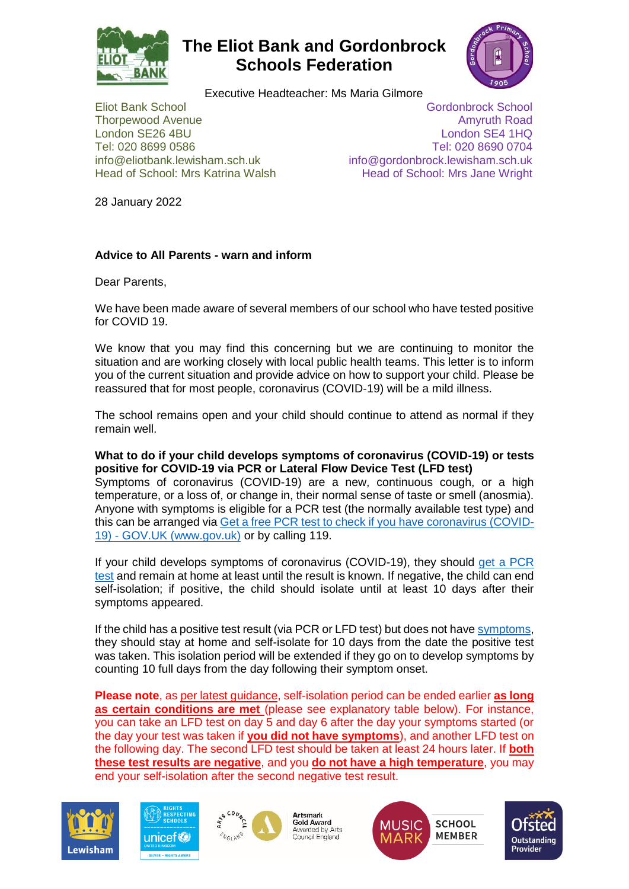

# **The Eliot Bank and Gordonbrock Schools Federation**



Executive Headteacher: Ms Maria Gilmore

Eliot Bank School Gordonbrock School **Thorpewood Avenue Amyruth Road Amyruth Road Amyruth Road Amyruth Road Amyruth Road Amyruth Road Amyruth Road Amyruth Road Amyruth Road Amyruth Road Amyruth Road Amyruth Road Amyruth Road Amyruth Road Amyruth Road Amyruth** London SE26 4BU London SE4 1HQ Tel: 020 8699 0586 Tel: 020 8690 0704 info@eliotbank.lewisham.sch.uk info@gordonbrock.lewisham.sch.uk Head of School: Mrs Katrina Walsh Head of School: Mrs Jane Wright

28 January 2022

## **Advice to All Parents - warn and inform**

Dear Parents,

We have been made aware of several members of our school who have tested positive for COVID 19.

We know that you may find this concerning but we are continuing to monitor the situation and are working closely with local public health teams. This letter is to inform you of the current situation and provide advice on how to support your child. Please be reassured that for most people, coronavirus (COVID-19) will be a mild illness.

The school remains open and your child should continue to attend as normal if they remain well.

**What to do if your child develops symptoms of coronavirus (COVID-19) or tests positive for COVID-19 via PCR or Lateral Flow Device Test (LFD test)** Symptoms of coronavirus (COVID-19) are a new, continuous cough, or a high temperature, or a loss of, or change in, their normal sense of taste or smell (anosmia). Anyone with symptoms is eligible for a PCR test (the normally available test type) and this can be arranged via [Get a free PCR test to check if you have coronavirus \(COVID-](https://www.gov.uk/get-coronavirus-test)

19) - [GOV.UK \(www.gov.uk\)](https://www.gov.uk/get-coronavirus-test) or by calling 119.

If your child develops symptoms of coronavirus (COVID-19), they should [get a PCR](https://www.gov.uk/get-coronavirus-test)  [test](https://www.gov.uk/get-coronavirus-test) and remain at home at least until the result is known. If negative, the child can end self-isolation; if positive, the child should isolate until at least 10 days after their symptoms appeared.

If the child has a positive test result (via PCR or LFD test) but does not have [symptoms,](https://www.gov.uk/government/publications/covid-19-stay-at-home-guidance/stay-at-home-guidance-for-households-with-possible-coronavirus-covid-19-infection#symptoms) they should stay at home and self-isolate for 10 days from the date the positive test was taken. This isolation period will be extended if they go on to develop symptoms by counting 10 full days from the day following their symptom onset.

**Please note**, a[s per latest guidance,](https://www.gov.uk/government/publications/covid-19-stay-at-home-guidance/stay-at-home-guidance-for-households-with-possible-coronavirus-covid-19-infection#SymptomsPositiveTest) self-isolation period can be ended earlier **as long as certain conditions are met** (please see explanatory table below). For instance, you can take an LFD test on day 5 and day 6 after the day your symptoms started (or the day your test was taken if **you did not have symptoms**), and another LFD test on the following day. The second LFD test should be taken at least 24 hours later. If **both these test results are negative**, and you **do not have a high temperature**, you may end your self-isolation after the second negative test result.







Artsmark **Gold Award** Awarded by Arts Council England



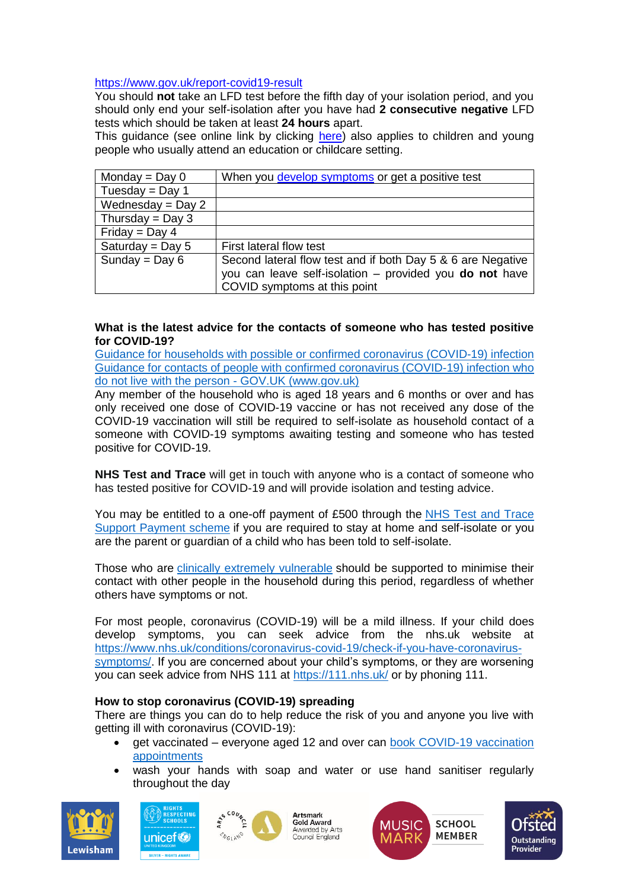#### <https://www.gov.uk/report-covid19-result>

You should **not** take an LFD test before the fifth day of your isolation period, and you should only end your self-isolation after you have had **2 consecutive negative** LFD tests which should be taken at least **24 hours** apart.

This guidance (see online link by clicking [here\)](https://www.gov.uk/government/publications/covid-19-stay-at-home-guidance/stay-at-home-guidance-for-households-with-possible-coronavirus-covid-19-infection#SymptomsPositiveTest) also applies to children and young people who usually attend an education or childcare setting.

| Monday = $Day 0$    | When you develop symptoms or get a positive test            |
|---------------------|-------------------------------------------------------------|
| Tuesday = Day 1     |                                                             |
| Wednesday = $Day 2$ |                                                             |
| Thursday = Day 3    |                                                             |
| Friday = Day 4      |                                                             |
| Saturday = Day $5$  | First lateral flow test                                     |
| Sunday = $Day 6$    | Second lateral flow test and if both Day 5 & 6 are Negative |
|                     | you can leave self-isolation - provided you do not have     |
|                     | COVID symptoms at this point                                |

### **What is the latest advice for the contacts of someone who has tested positive for COVID-19?**

[Guidance for households with possible or confirmed coronavirus \(COVID-19\) infection](https://www.gov.uk/government/publications/covid-19-stay-at-home-guidance/stay-at-home-guidance-for-households-with-possible-coronavirus-covid-19-infection#main-messages) Guidance for contacts of people with confirmed coronavirus (COVID-19) infection who do not live with the person - GOV.UK (www.gov.uk)

Any member of the household who is aged 18 years and 6 months or over and has only received one dose of COVID-19 vaccine or has not received any dose of the COVID-19 vaccination will still be required to self-isolate as household contact of a someone with COVID-19 symptoms awaiting testing and someone who has tested positive for COVID-19.

**NHS Test and Trace** will get in touch with anyone who is a contact of someone who has tested positive for COVID-19 and will provide isolation and testing advice.

You may be entitled to a one-off payment of £500 through the [NHS Test and Trace](https://www.gov.uk/government/publications/test-and-trace-support-payment-scheme-claiming-financial-support/claiming-financial-support-under-the-test-and-trace-support-payment-scheme)  [Support Payment scheme](https://www.gov.uk/government/publications/test-and-trace-support-payment-scheme-claiming-financial-support/claiming-financial-support-under-the-test-and-trace-support-payment-scheme) if you are required to stay at home and self-isolate or you are the parent or guardian of a child who has been told to self-isolate.

Those who are [clinically extremely vulnerable](https://www.gov.uk/government/publications/guidance-on-shielding-and-protecting-extremely-vulnerable-persons-from-covid-19/guidance-on-shielding-and-protecting-extremely-vulnerable-persons-from-covid-19) should be supported to minimise their contact with other people in the household during this period, regardless of whether others have symptoms or not.

For most people, coronavirus (COVID-19) will be a mild illness. If your child does develop symptoms, you can seek advice from the nhs.uk website at [https://www.nhs.uk/conditions/coronavirus-covid-19/check-if-you-have-coronavirus](https://www.nhs.uk/conditions/coronavirus-covid-19/check-if-you-have-coronavirus-symptoms/)[symptoms/.](https://www.nhs.uk/conditions/coronavirus-covid-19/check-if-you-have-coronavirus-symptoms/) If you are concerned about your child's symptoms, or they are worsening you can seek advice from NHS 111 at<https://111.nhs.uk/> or by phoning 111.

#### **How to stop coronavirus (COVID-19) spreading**

There are things you can do to help reduce the risk of you and anyone you live with getting ill with coronavirus (COVID-19):

- get vaccinated everyone aged 12 and over can [book COVID-19 vaccination](https://www.nhs.uk/conditions/coronavirus-covid-19/coronavirus-vaccination/book-coronavirus-vaccination/)  [appointments](https://www.nhs.uk/conditions/coronavirus-covid-19/coronavirus-vaccination/book-coronavirus-vaccination/)
- wash your hands with soap and water or use hand sanitiser regularly throughout the day







Artsmark **Gold Award** Awarded by Arts Council England